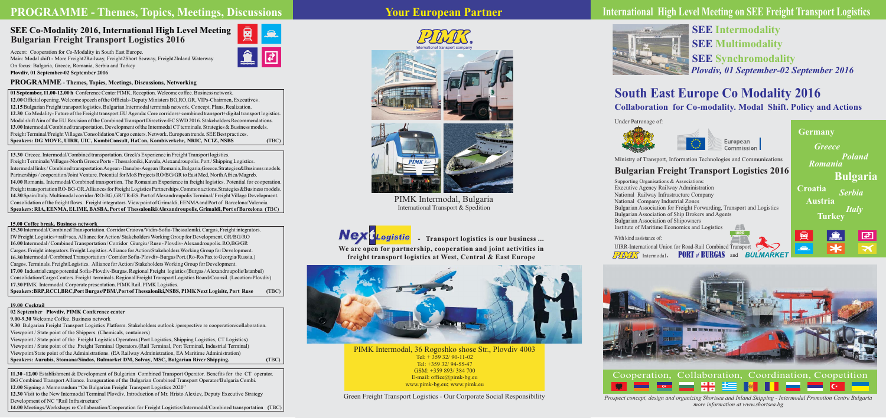Supporting Organisations  $\&$  Associations: Executive Agency Railway Administration National Railway Infrastructure Company National Company Industrial Zones Bulgarian Association for Freight Forwarding, Transport and Logistics Bulgarian Association of Ship Brokers and Agents Institute of Maritime Economics and Logistics Bulgarian Association of Shipowners

Accent: Cooperation for Co-Modality in South East Europe. Main: Modal shift - More Freight2Railway, Freight2Short Seaway, Freight2Inland Waterway On focus: Bulgaria, Greece, Romania, Serbia and Turkey **Plovdiv, 01 September-02 September 2016**

13.30 Greece. Intermodal/Combined transportation. Greek's Experience in Freight Transport logistics. Freight Terminals/Villages-North Greece Ports - Thessaloniki, Kavala, Alexandroupolis. Port / Shipping Logistics. Partnerships / cooperation/Joint Venture. Potential for MoS Projects RO/BG/GR to East Med, North Africa/Magreb. 14.30 Spain/Italy. Multimodal corridor /RO-BG,GR/TR-ES. Port of Alexandroupolis Terminal/ Freight Village Development. Consolidation of the freight flows. Freight integrators. View point of Grimaldi, EENMA and Port of Barcelona/Valencia. Intermodal links / Combined transportation Aegean -Danube-Aegean / Romania, Bulgaria, Greece. Strategies& Business models. 14.00 Romania. Intermodal/Combined transportion. The Romanian Experience in freight logistics. Potential for cooperation. Freight transportation RO-BG-GR.Alliances for Freight Logistics Partnerships.Common actions. Strategies&Business models. **Speakers: RIA, EENMA, ELIME, BASBA, Port of Thessaloniki/Alexandroupolis, Grimaldi, Port of Barcelona (** TBC)

15.30 Intermodal/Combined Transportation. Corridor Craiova/Vidin-Sofia-Thessaloniki. Cargos, Freight integrators. 16.00 Intermodal / Combined Transportation / Corridor Giurgiu / Ruse - Plovdiv-Alexandroupolis. RO,BG/GR Cargos. Freight integrators. Freight Logistics. Alliance for Action/Stakeholders Working Group for Development. 17.00 Industrial cargo potential Sofia-Plovdiv-Burgas. Regional Freight logistics (Burgas / Alexandroupolis/Istanbul) Consolidation/Cargo Centers. Freight terminals. Regional Freight Transport Logistics Board/Counsil. (Location-Plovdiv) 17.30 PIMK Intermodal. Corporate presentation. PIMK Rail. PIMK Logistics. 16.30 Intermodal /Combined Transportation / Corridor Sofia-Plovdiv-Burgas Port.(Ro-Ro/Pax to Georgia/Russia.) Cargos. Terminals. Freight Logistics. Alliance for Action/Stakeholders Working Group for Development. IW Freight Logistics+ rail+sea. Alliance for Action/Stakeholders Working Group for Development. GR/BG/RO **Speakers:BR ,RCCI,BRC,Port Burgas/PBM/,Port ofThessaloniki,NSBS, PIMK Next Logisitc, P Port Ruse (** TBC)

9.30 Bulgarian Freight Transport Logistics Platform. Stakeholders outlook /perspective re cooperation/collaboration. 9.00-9.30 Welcome Coffee. Business network Viewpoint / State point of the Shippers. (Chemicals, containers) Viewpoint / State point of the Freight Logistics Operators.(Port Logistics, Shipping Logistics, CT Logistics) Viewpoint / State point of the Freight Terminal Operators.(Rail Terminal, Port Terminal, Industrial Terminal) Viewpoint/State point of the Administrations. (EA Railway Administration, EA Maritime Administration) **02 September Plovdiv, PIMK Conference center** Speakers: Aurubis, Stomana/Sindos, Bulmarket DM, Solvay, MSC, Bulgarian River Shipping. **(** TBC)

11.30 -12.00 Establishment & Development of Bulgarian Combined Transport Operator. Benefits for the CT operator. BG Combined Transport Alliance. Inauguration of the Bulgarian Combined Transport Operator/Bulgaria Combi. 12.00 Signing a Memorandum "On Bulgarian Freight Transport Logistics 2020" 12.30 Visit to the New Intermodal Terminal Plovdiv. Introduction of Mr. Hristo Alexiev, Deputy Executive Strategy

Intermodal, **PUKI** of **BUKGAS** and UIRR-International Union for Road-Rail Combined Transport

# **SEE Co-Modality 2016, International High Level Meeting Bulgarian Freight Transport Logistics 2016**

Prospect concept, design and organizing Shortsea and Inland Shipping - Intermodal Promotion Centre Bulgaria *more information at www.shortsea.bg*

PIMK Intermodal, 36 Rogoshko shose Str., Plovdiv 4003 Tel:  $+35932/90-11-02$ Tel: +359 32/ 94-55-47 GSM: +359 893/ 384 700 E-mail: office@pimk-bg.eu www.pimk-bg.eu; www.pimk.eu

Development of NC "Rail Infrastructure"

14.00 Meetings/Workshops re Collaboration/Cooperation for Freight Logistics/Intermodal/Combined transportation (TBC)



### **19.00 Cocktail**

# **PROGRAMME - Themes, Topics, Meetings, Discussions**

# **Bulgarian Freight Transport Logistics 2016**

With kind assistance of:

## **PROGRAMME - Themes, Topics, Meetings, Discussions, Networking**

12.00 Official opening. Welcome speech of the Officials-Deputy Ministers BG,RO,GR, VIPs-Chairmen, Executives. 12.15 Bulgarian Freight transport logistics. Bulgarian Intermodal terminals network. Concept, Plans, Realization. 12.30 Co Modality-Future of the Freight transport.EU Agenda: Core corridors+combined transport+digital transport logistics. Modal shift Aim of the EU.Revision of the Combined Transport Directive-EC SWD 2016. Stakeholders Recommendations. 13.00 Intermodal/Combined transportation. Development of the Intermodal CT terminals. Strategies & Business models. Freight Terminal/Freight Villages/Consolidation/Cargo centers. Network. European trends. SEE Best practices. 01 September, 11.00-12.00 h Conference Center PIMK. Reception. Welcome coffee. Business network.  $S$ peakers: DG MOVE, UIRR, UIC, KombiConsult, HaCon, Kombiverkehr, NRIC, NCIZ, NSBS *(TBC)* 



**freight transport logistics аt West, Central & East Europe**



*Plovdiv, 01 September-02 September 2016* **SEE Intermodality SEE Multimodality SEE Synchromodality**

# **South East Europe Co Modality 2016 Collaboration for Co-modality. Modal Shift. Policy and Actions**

Green Freight Transport Logistics - Our Corporate Social Responsibility





# **International High Level Meeting on SEE Freight Transport Logistics**











PIMK Intermodal, Bulgaria International Transport & Spedition

Under Patronage of:





Ministry of Transport, Information Technologies and Communications





### **15.00 Coffee break. Business network**